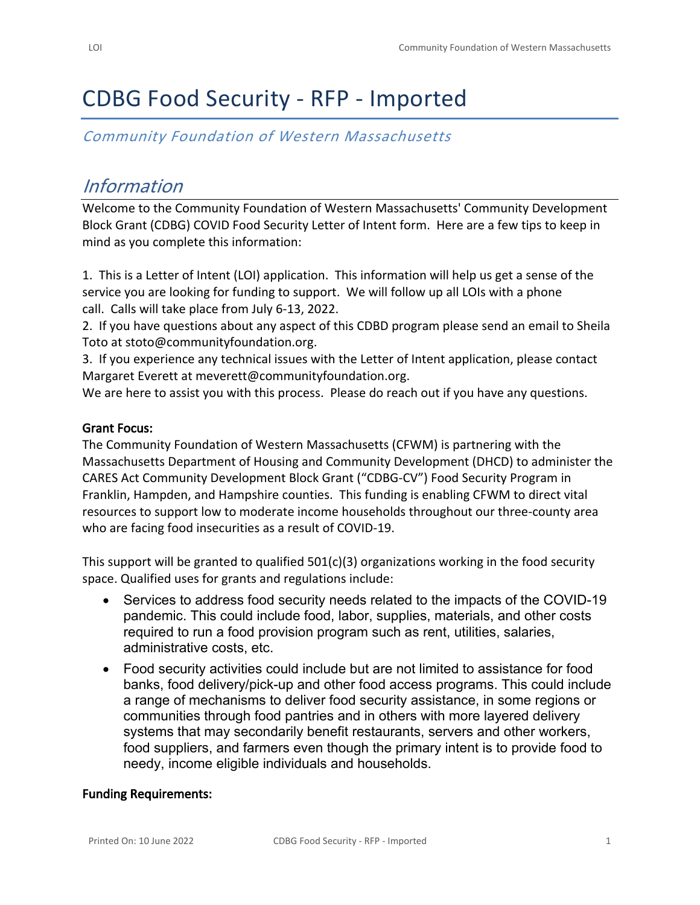# CDBG Food Security - RFP - Imported

*Community Foundation of Western Massachusetts*

## *Information*

Welcome to the Community Foundation of Western Massachusetts' Community Development Block Grant (CDBG) COVID Food Security Letter of Intent form. Here are a few tips to keep in mind as you complete this information:

1. This is a Letter of Intent (LOI) application. This information will help us get a sense of the service you are looking for funding to support. We will follow up all LOIs with a phone call. Calls will take place from July 6-13, 2022.

2. If you have questions about any aspect of this CDBD program please send an email to Sheila Toto at stoto@communityfoundation.org.

3. If you experience any technical issues with the Letter of Intent application, please contact Margaret Everett at meverett@communityfoundation.org.

We are here to assist you with this process. Please do reach out if you have any questions.

### **Grant Focus:**

The Community Foundation of Western Massachusetts (CFWM) is partnering with the Massachusetts Department of Housing and Community Development (DHCD) to administer the CARES Act Community Development Block Grant ("CDBG-CV") Food Security Program in Franklin, Hampden, and Hampshire counties. This funding is enabling CFWM to direct vital resources to support low to moderate income households throughout our three-county area who are facing food insecurities as a result of COVID-19.

This support will be granted to qualified 501(c)(3) organizations working in the food security space. Qualified uses for grants and regulations include:

- Services to address food security needs related to the impacts of the COVID-19 pandemic. This could include food, labor, supplies, materials, and other costs required to run a food provision program such as rent, utilities, salaries, administrative costs, etc.
- Food security activities could include but are not limited to assistance for food banks, food delivery/pick-up and other food access programs. This could include a range of mechanisms to deliver food security assistance, in some regions or communities through food pantries and in others with more layered delivery systems that may secondarily benefit restaurants, servers and other workers, food suppliers, and farmers even though the primary intent is to provide food to needy, income eligible individuals and households.

#### **Funding Requirements:**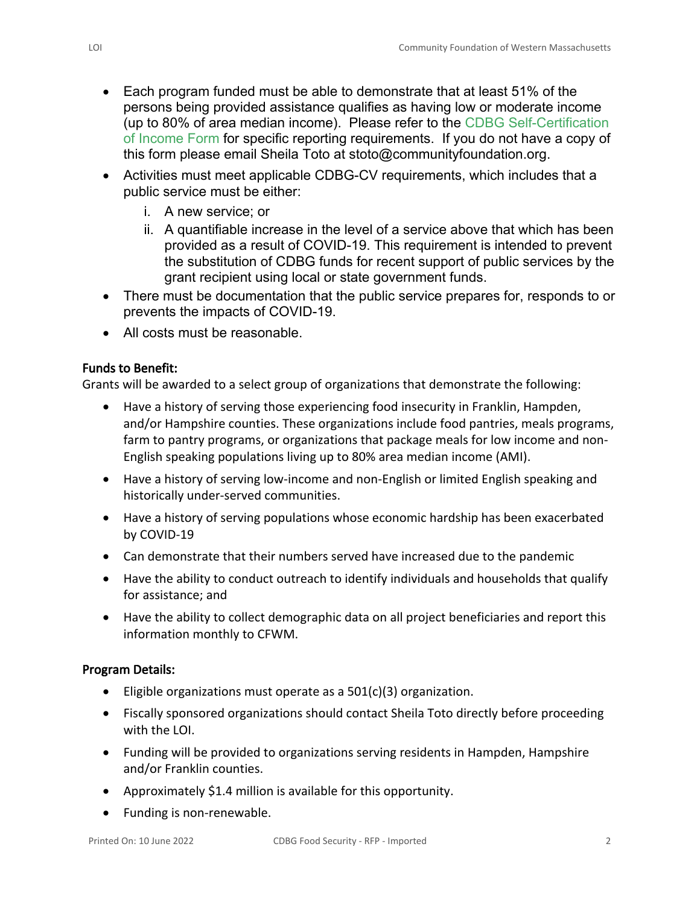- Each program funded must be able to demonstrate that at least 51% of the persons being provided assistance qualifies as having low or moderate income (up to 80% of area median income). Please refer to the CDBG Self-Certification of Income Form for specific reporting requirements. If you do not have a copy of this form please email Sheila Toto at stoto@communityfoundation.org.
- Activities must meet applicable CDBG-CV requirements, which includes that a public service must be either:
	- i. A new service; or
	- ii. A quantifiable increase in the level of a service above that which has been provided as a result of COVID-19. This requirement is intended to prevent the substitution of CDBG funds for recent support of public services by the grant recipient using local or state government funds.
- There must be documentation that the public service prepares for, responds to or prevents the impacts of COVID-19.
- All costs must be reasonable.

#### **Funds to Benefit:**

Grants will be awarded to a select group of organizations that demonstrate the following:

- Have a history of serving those experiencing food insecurity in Franklin, Hampden, and/or Hampshire counties. These organizations include food pantries, meals programs, farm to pantry programs, or organizations that package meals for low income and non-English speaking populations living up to 80% area median income (AMI).
- Have a history of serving low-income and non-English or limited English speaking and historically under-served communities.
- Have a history of serving populations whose economic hardship has been exacerbated by COVID-19
- Can demonstrate that their numbers served have increased due to the pandemic
- Have the ability to conduct outreach to identify individuals and households that qualify for assistance; and
- Have the ability to collect demographic data on all project beneficiaries and report this information monthly to CFWM.

#### **Program Details:**

- Eligible organizations must operate as a 501(c)(3) organization.
- Fiscally sponsored organizations should contact Sheila Toto directly before proceeding with the LOI.
- Funding will be provided to organizations serving residents in Hampden, Hampshire and/or Franklin counties.
- Approximately \$1.4 million is available for this opportunity.
- Funding is non-renewable.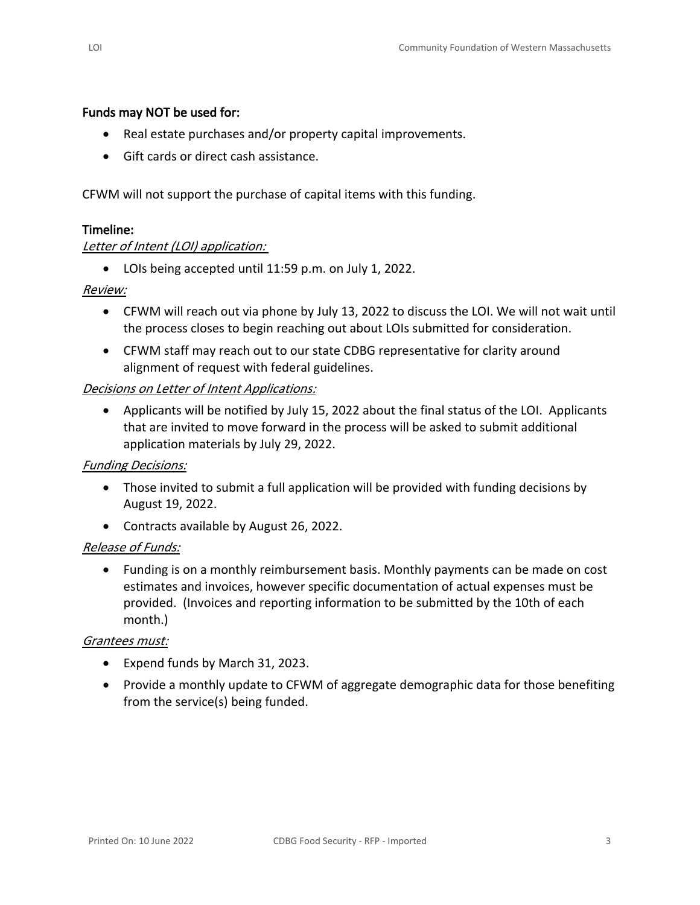#### **Funds may NOT be used for:**

- Real estate purchases and/or property capital improvements.
- Gift cards or direct cash assistance.

CFWM will not support the purchase of capital items with this funding.

#### **Timeline:**

#### *Letter of Intent (LOI) application:*

• LOIs being accepted until 11:59 p.m. on July 1, 2022.

#### *Review:*

- CFWM will reach out via phone by July 13, 2022 to discuss the LOI. We will not wait until the process closes to begin reaching out about LOIs submitted for consideration.
- CFWM staff may reach out to our state CDBG representative for clarity around alignment of request with federal guidelines.

#### *Decisions on Letter of Intent Applications:*

• Applicants will be notified by July 15, 2022 about the final status of the LOI. Applicants that are invited to move forward in the process will be asked to submit additional application materials by July 29, 2022.

#### *Funding Decisions:*

- Those invited to submit a full application will be provided with funding decisions by August 19, 2022.
- Contracts available by August 26, 2022.

#### *Release of Funds:*

• Funding is on a monthly reimbursement basis. Monthly payments can be made on cost estimates and invoices, however specific documentation of actual expenses must be provided. (Invoices and reporting information to be submitted by the 10th of each month.)

#### *Grantees must:*

- Expend funds by March 31, 2023.
- Provide a monthly update to CFWM of aggregate demographic data for those benefiting from the service(s) being funded.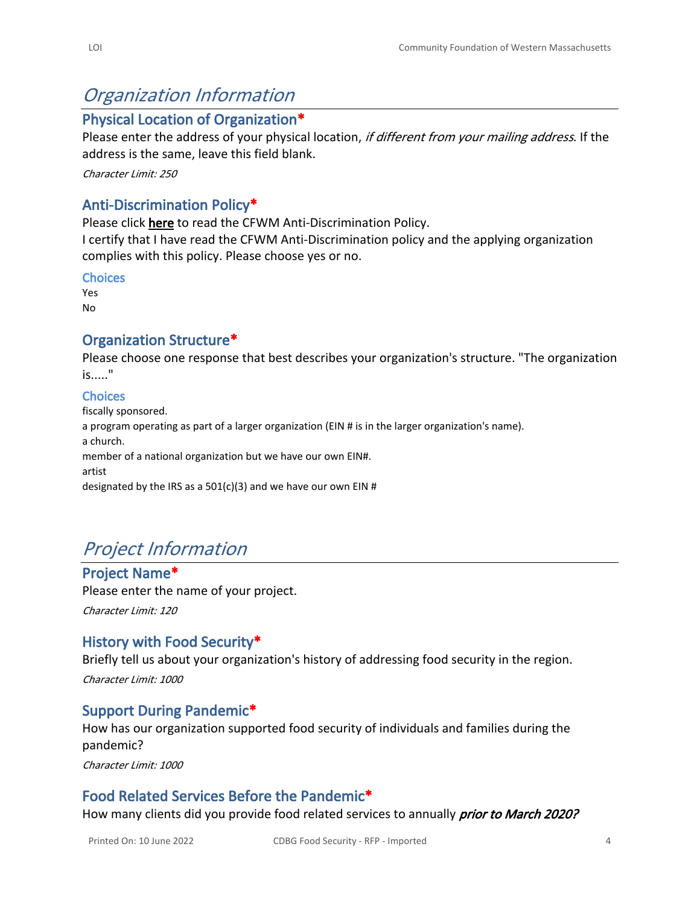## *Organization Information*

## **Physical Location of Organization\***

Please enter the address of your physical location, *if different from your mailing address*. If the address is the same, leave this field blank.

*Character Limit: 250*

## **Anti-Discrimination Policy\***

Please click **here** to read the CFWM Anti-Discrimination Policy.

I certify that I have read the CFWM Anti-Discrimination policy and the applying organization complies with this policy. Please choose yes or no.

#### **Choices**

Yes No

## **Organization Structure\***

Please choose one response that best describes your organization's structure. "The organization is....."

#### **Choices**

fiscally sponsored. a program operating as part of a larger organization (EIN # is in the larger organization's name). a church. member of a national organization but we have our own EIN#. artist designated by the IRS as a  $501(c)(3)$  and we have our own EIN #

## *Project Information*

**Project Name\*** Please enter the name of your project.

*Character Limit: 120*

## **History with Food Security\***

Briefly tell us about your organization's history of addressing food security in the region. *Character Limit: 1000*

## **Support During Pandemic\***

How has our organization supported food security of individuals and families during the pandemic?

*Character Limit: 1000*

## **Food Related Services Before the Pandemic\***

How many clients did you provide food related services to annually *prior to March 2020?*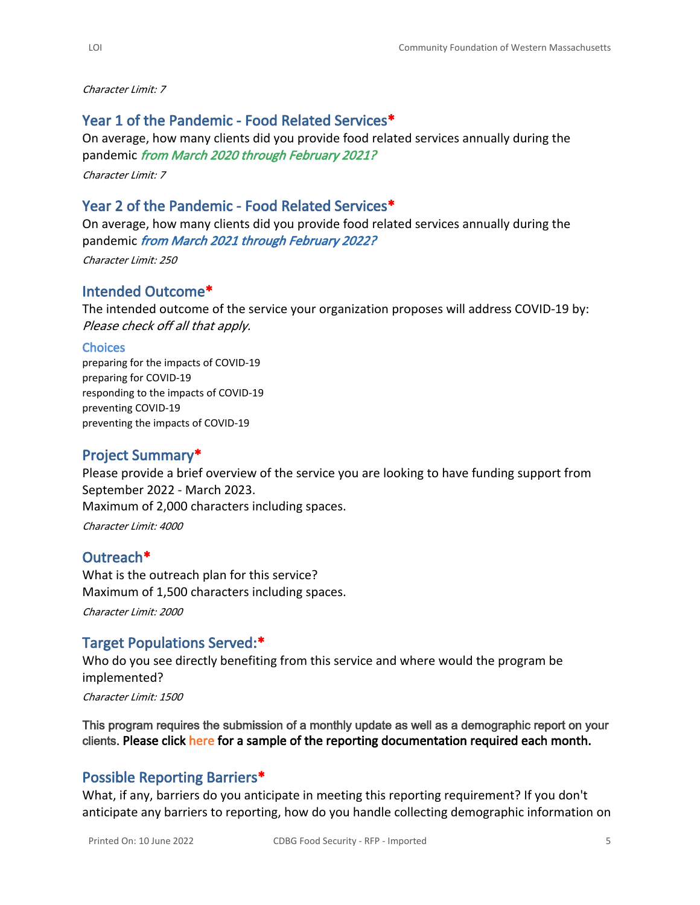*Character Limit: 7*

## **Year 1 of the Pandemic - Food Related Services\***

On average, how many clients did you provide food related services annually during the pandemic *from March 2020 through February 2021?*

*Character Limit: 7*

## **Year 2 of the Pandemic - Food Related Services\***

On average, how many clients did you provide food related services annually during the pandemic *from March 2021 through February 2022?*

*Character Limit: 250*

## **Intended Outcome\***

The intended outcome of the service your organization proposes will address COVID-19 by: *Please check off all that apply.*

#### **Choices**

preparing for the impacts of COVID-19 preparing for COVID-19 responding to the impacts of COVID-19 preventing COVID-19 preventing the impacts of COVID-19

## **Project Summary\***

Please provide a brief overview of the service you are looking to have funding support from September 2022 - March 2023. Maximum of 2,000 characters including spaces.

*Character Limit: 4000*

### **Outreach\***

What is the outreach plan for this service? Maximum of 1,500 characters including spaces. *Character Limit: 2000*

## **Target Populations Served:\***

Who do you see directly benefiting from this service and where would the program be implemented?

*Character Limit: 1500*

**This program requires the submission of a monthly update as well as a demographic report on your clients. Please click here for a sample of the reporting documentation required each month.**

## **Possible Reporting Barriers\***

What, if any, barriers do you anticipate in meeting this reporting requirement? If you don't anticipate any barriers to reporting, how do you handle collecting demographic information on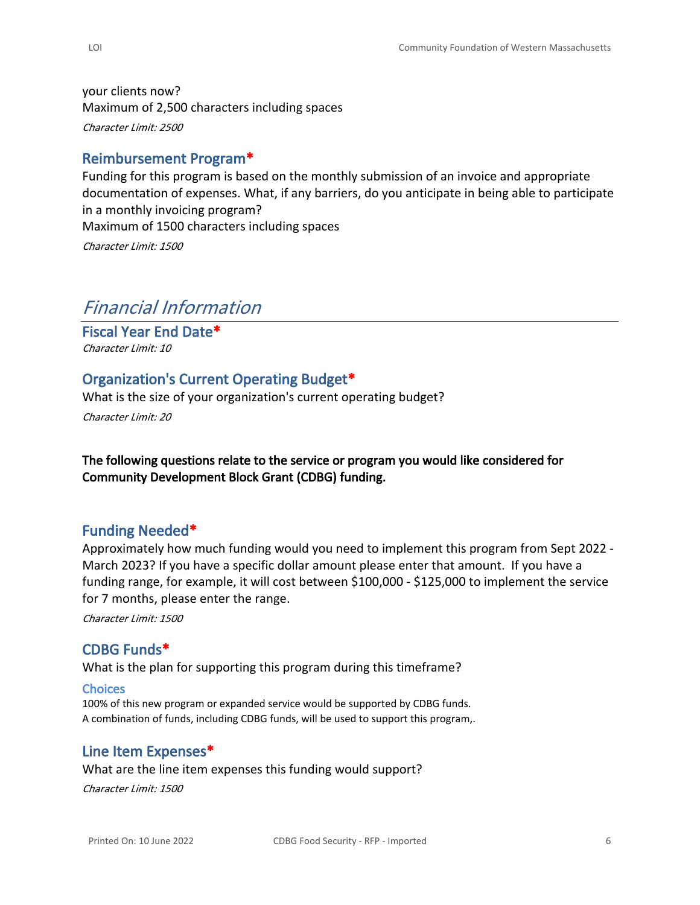your clients now? Maximum of 2,500 characters including spaces *Character Limit: 2500*

## **Reimbursement Program\***

Funding for this program is based on the monthly submission of an invoice and appropriate documentation of expenses. What, if any barriers, do you anticipate in being able to participate in a monthly invoicing program? Maximum of 1500 characters including spaces *Character Limit: 1500*

## *Financial Information*

**Fiscal Year End Date\*** *Character Limit: 10*

## **Organization's Current Operating Budget\***

What is the size of your organization's current operating budget?

*Character Limit: 20*

**The following questions relate to the service or program you would like considered for Community Development Block Grant (CDBG) funding.**

### **Funding Needed\***

Approximately how much funding would you need to implement this program from Sept 2022 - March 2023? If you have a specific dollar amount please enter that amount. If you have a funding range, for example, it will cost between \$100,000 - \$125,000 to implement the service for 7 months, please enter the range.

*Character Limit: 1500*

## **CDBG Funds\***

What is the plan for supporting this program during this timeframe?

#### **Choices**

100% of this new program or expanded service would be supported by CDBG funds. A combination of funds, including CDBG funds, will be used to support this program,.

#### **Line Item Expenses\***

What are the line item expenses this funding would support? *Character Limit: 1500*